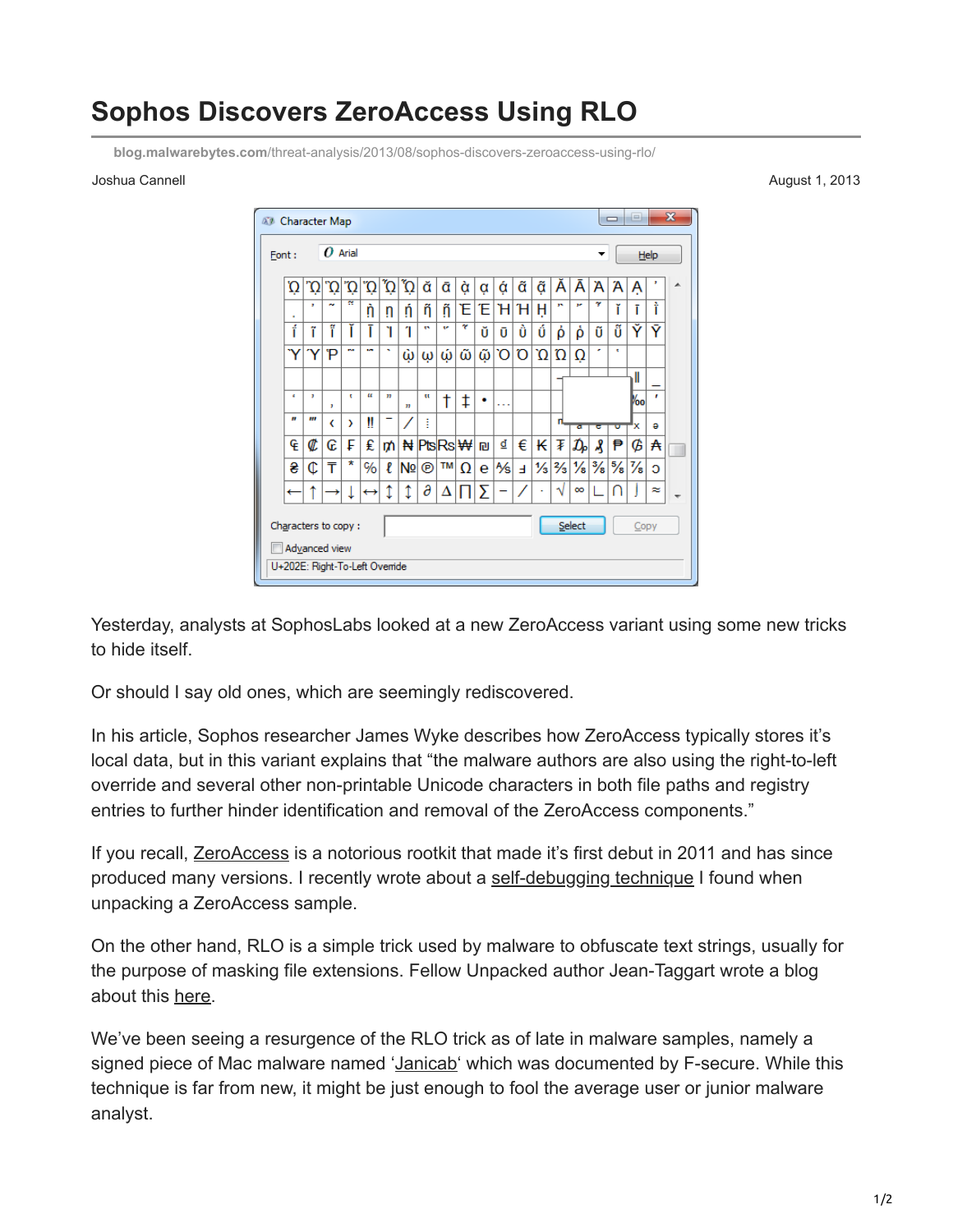## **Sophos Discovers ZeroAccess Using RLO**

**blog.malwarebytes.com**[/threat-analysis/2013/08/sophos-discovers-zeroaccess-using-rlo/](https://blog.malwarebytes.com/threat-analysis/2013/08/sophos-discovers-zeroaccess-using-rlo/)

## Joshua Cannell August 1, 2013

**AT Character Map**  $O$  Arial Font: Help  $\mathfrak{H} | \mathfrak{D} | \mathfrak{D} | \mathfrak{D} | \mathfrak{D} | \mathfrak{D} | \mathfrak{D} | \mathfrak{D} | \mathfrak{D} | \mathfrak{D} | \mathfrak{D}$ α  $\alpha|\tilde{\alpha}|$ ã A A Ά Ά Ą  $\mathfrak{n} | \mathfrak{n}$  $\mathfrak{g}|\mathfrak{g}|\mathfrak{g}|\mathfrak{E}|\mathfrak{E}|\mathfrak{H}|\mathfrak{H}|\mathfrak{h}$ ĭ Ĩ Ť Ϋ́Y Ť ĩ Ĩ Ť T Ĩ. 1  $\mathbf{U} | \mathbf{U} | \mathbf{U} |$   $\mathbf{U}$ ρ, Ò. ũ ũ  $\overline{Y}$   $\overline{P}$ Ÿ  $\Omega |\Omega| \Omega$   $\Omega |\Omega|$  (  $\Omega |\omega|$  (  $\omega$ Ш и n π t  $\ddagger$  $\bullet$ ŋ  $\overline{\boldsymbol{u}}$ m  $\overline{\mathbf{C}}$ Ш Ϊ ŧ  $\rightarrow$ å  $\mathcal{L}$  | m | N | Pts Rs | W | n | d |  $\in$  | K |  $\mathcal{L}$  |  $\mathcal{D}_p$  |  $\mathcal{R}$  |  $\overline{\phi}$ È  $| \mathbf{\Phi} |$  G F ₱ A  $\bar{T}$  $\%$  (  $\sqrt{100}$  M $\Omega$  e  $\frac{1}{3}$   $\frac{1}{3}$   $\frac{1}{3}$   $\frac{1}{3}$   $\frac{1}{3}$   $\frac{1}{3}$   $\frac{1}{3}$   $\frac{1}{3}$   $\frac{1}{3}$   $\frac{1}{3}$   $\frac{1}{3}$   $\frac{1}{3}$ 윧 ¢ ↥  $\partial |\Delta|\Pi|\Sigma$ √ ∞ J  $\approx$ Î Characters to copy: Select Copy Advanced view U+202E: Right-To-Left Override

Yesterday, analysts at SophosLabs looked at a new ZeroAccess variant using some new tricks to hide itself.

Or should I say old ones, which are seemingly rediscovered.

In his article, Sophos researcher James Wyke describes how ZeroAccess typically stores it's local data, but in this variant explains that "the malware authors are also using the right-to-left override and several other non-printable Unicode characters in both file paths and registry entries to further hinder identification and removal of the ZeroAccess components."

If you recall, **ZeroAccess** is a notorious rootkit that made it's first debut in 2011 and has since produced many versions. I recently wrote about a [self-debugging technique](http://blog.malwarebytes.org/intelligence/2013/07/zeroaccess-anti-debug-uses-debugger/) I found when unpacking a ZeroAccess sample.

On the other hand, RLO is a simple trick used by malware to obfuscate text strings, usually for the purpose of masking file extensions. Fellow Unpacked author Jean-Taggart wrote a blog about this [here.](http://blog.malwarebytes.org/intelligence/2013/07/bi-directional-trickery-%E2%95%AF%E2%96%A1%E2%95%AF%EF%B8%B5-o%D7%9F%C9%B9/)

We've been seeing a resurgence of the RLO trick as of late in malware samples, namely a signed piece of Mac malware named '[Janicab'](http://www.f-secure.com/weblog/archives/00002576.html) which was documented by F-secure. While this technique is far from new, it might be just enough to fool the average user or junior malware analyst.